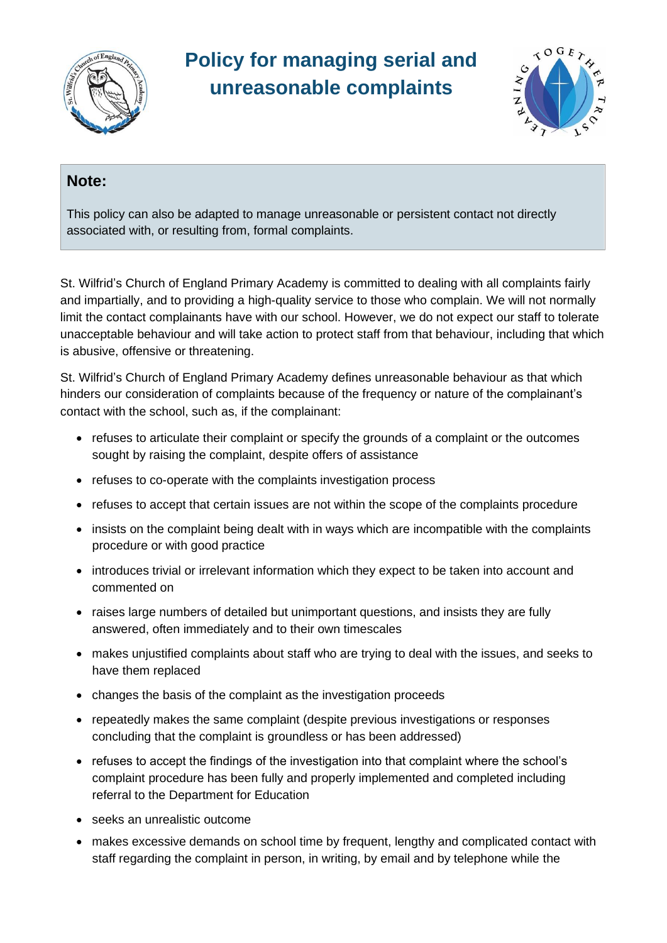

## **Policy for managing serial and unreasonable complaints**



## **Note:**

This policy can also be adapted to manage unreasonable or persistent contact not directly associated with, or resulting from, formal complaints.

St. Wilfrid's Church of England Primary Academy is committed to dealing with all complaints fairly and impartially, and to providing a high-quality service to those who complain. We will not normally limit the contact complainants have with our school. However, we do not expect our staff to tolerate unacceptable behaviour and will take action to protect staff from that behaviour, including that which is abusive, offensive or threatening.

St. Wilfrid's Church of England Primary Academy defines unreasonable behaviour as that which hinders our consideration of complaints because of the frequency or nature of the complainant's contact with the school, such as, if the complainant:

- refuses to articulate their complaint or specify the grounds of a complaint or the outcomes sought by raising the complaint, despite offers of assistance
- refuses to co-operate with the complaints investigation process
- refuses to accept that certain issues are not within the scope of the complaints procedure
- insists on the complaint being dealt with in ways which are incompatible with the complaints procedure or with good practice
- introduces trivial or irrelevant information which they expect to be taken into account and commented on
- raises large numbers of detailed but unimportant questions, and insists they are fully answered, often immediately and to their own timescales
- makes unjustified complaints about staff who are trying to deal with the issues, and seeks to have them replaced
- changes the basis of the complaint as the investigation proceeds
- repeatedly makes the same complaint (despite previous investigations or responses concluding that the complaint is groundless or has been addressed)
- refuses to accept the findings of the investigation into that complaint where the school's complaint procedure has been fully and properly implemented and completed including referral to the Department for Education
- seeks an unrealistic outcome
- makes excessive demands on school time by frequent, lengthy and complicated contact with staff regarding the complaint in person, in writing, by email and by telephone while the